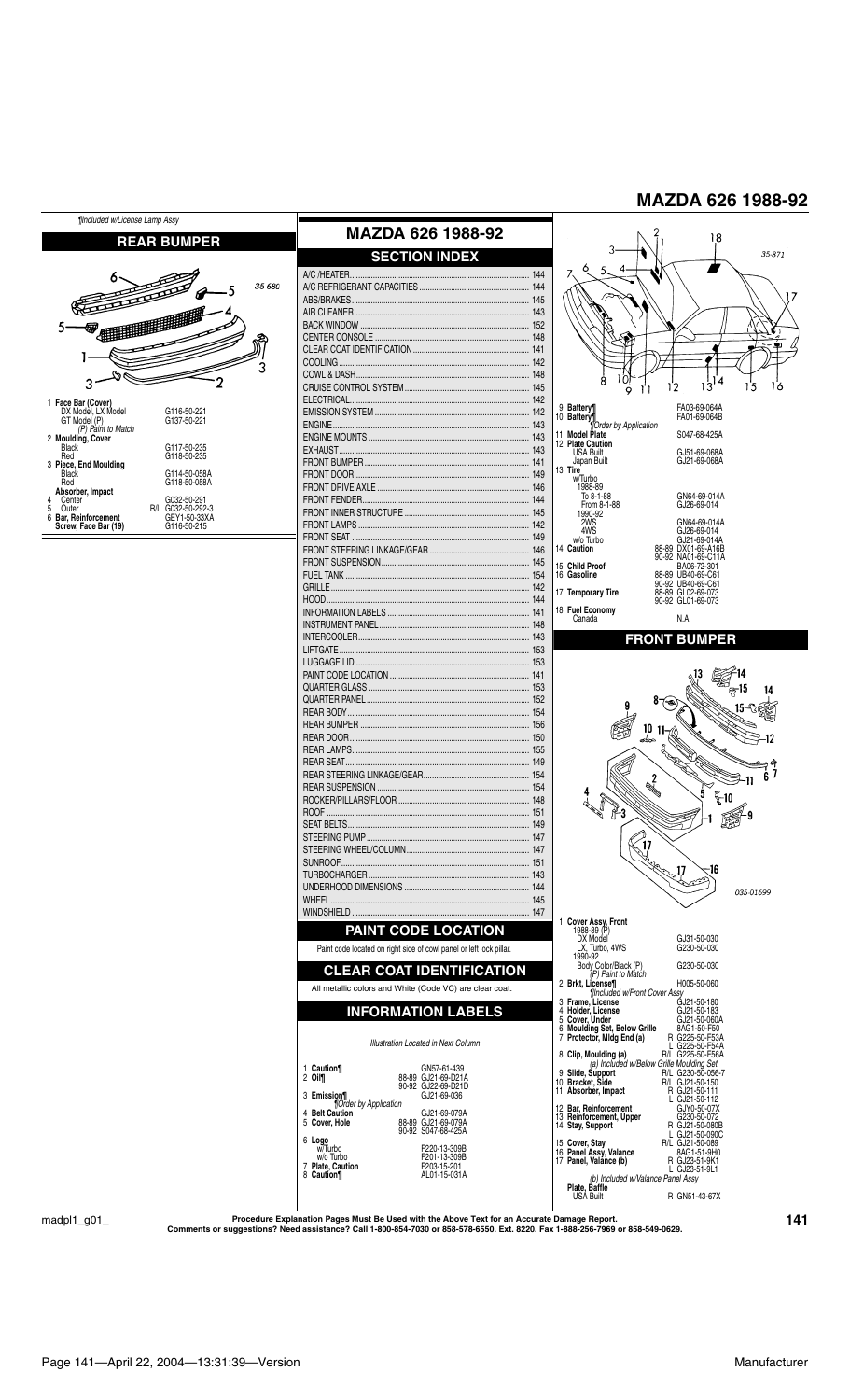

 $\mathrm{madpl1\_g01\_}$  Procedure Explanation Pages Must Be Used with the Above Text for an Accurate Damage Report.<br>Comments or suggestions? Need assistance? Call 1-800-854-7030 or 858-578-6550. Ext. 8220. Fax 1-888-256-7969 or 85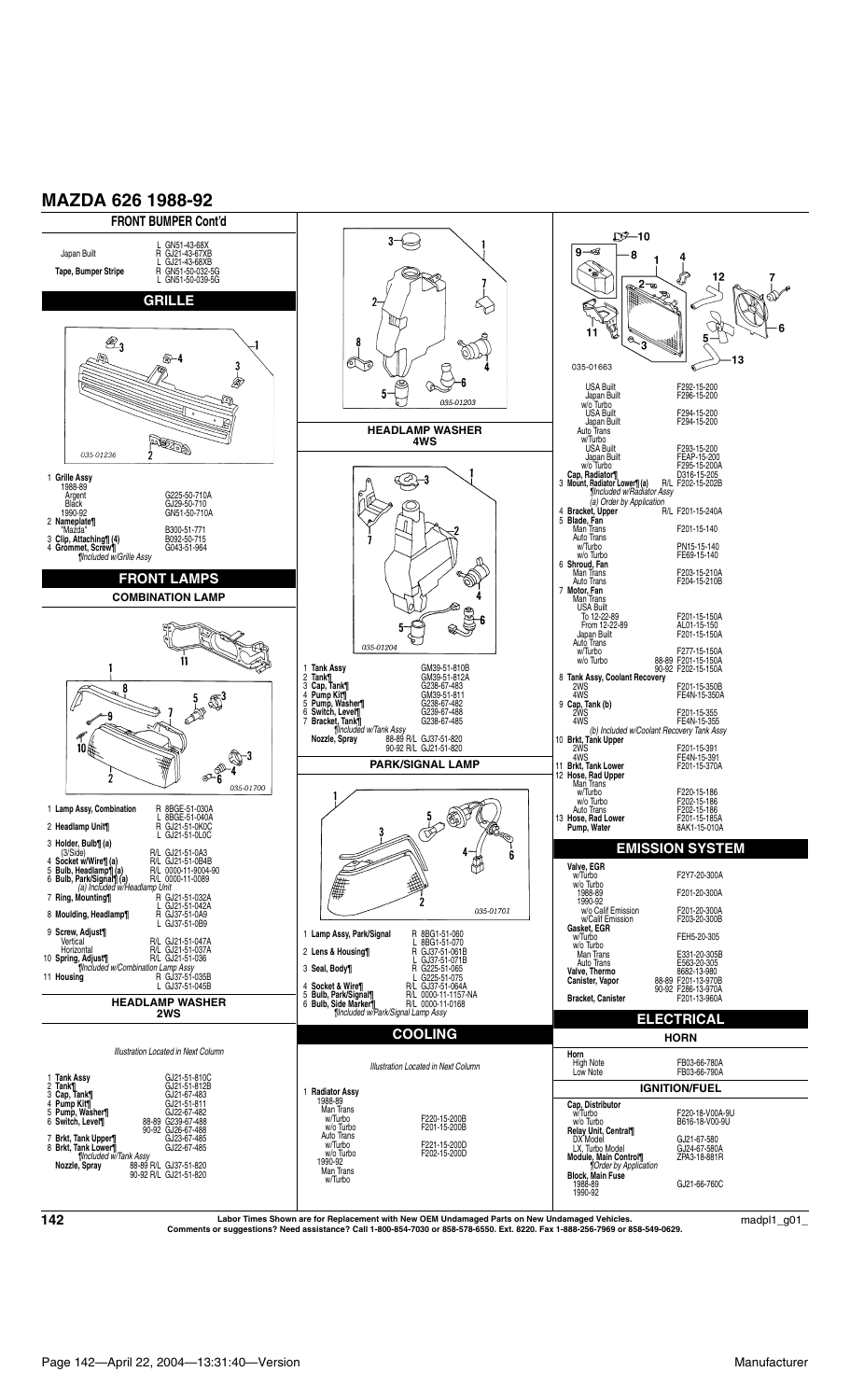

**Labor Times Shown are for Replacement with New OEM Undamaged Parts on New Undamaged Vehicles. Comments or suggestions? Need assistance? Call 1-800-854-7030 or 858-578-6550. Ext. 8220. Fax 1-888-256-7969 or 858-549-0629. <sup>142</sup>** madpl1\_g01\_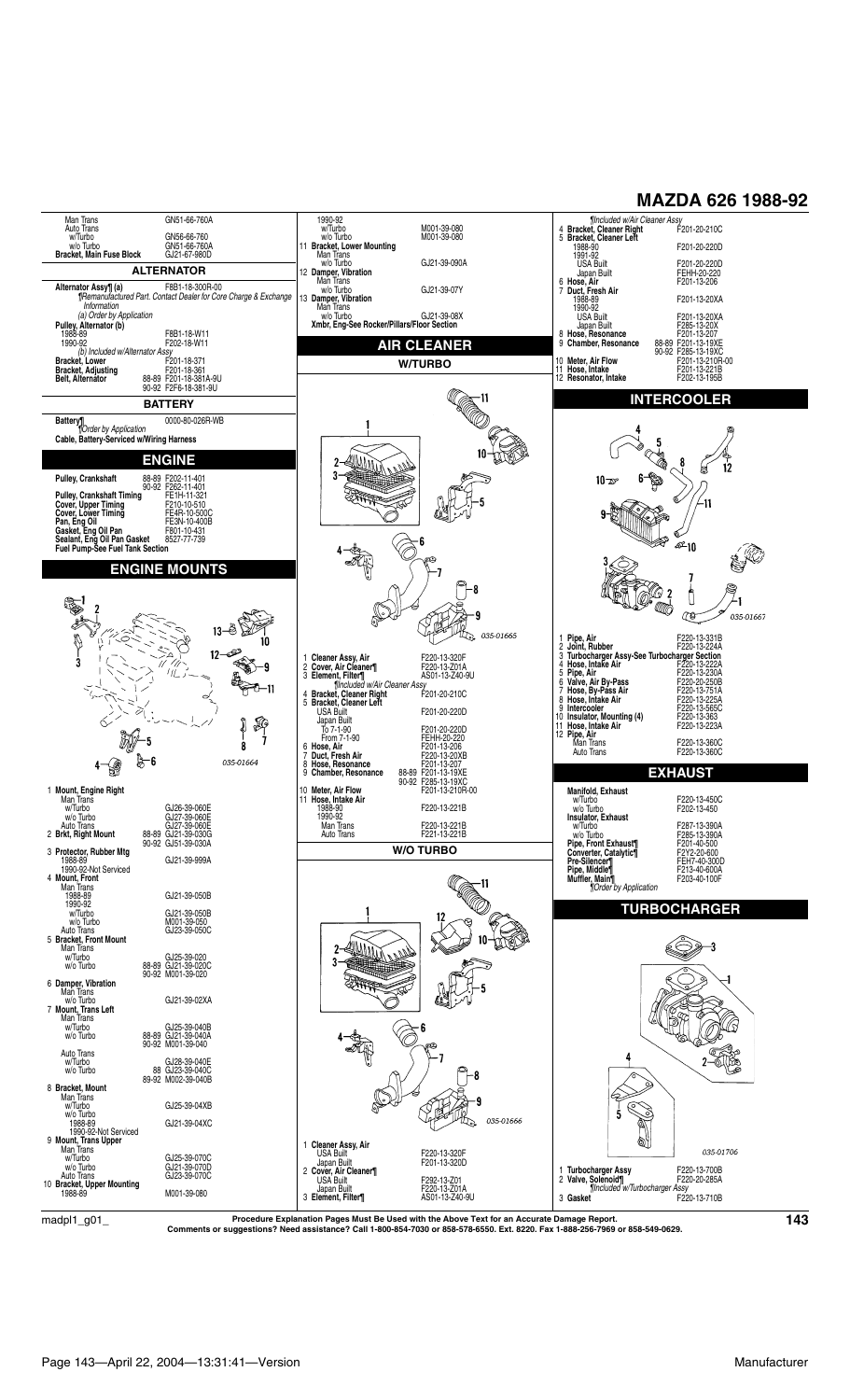#### Man Trans<br>Auto Trans<br>w/Turbo<br>w/o Turbo GN51-66-760A 1990-92<br>
w/Turbo M001-39-080<br>
w/o Turbo M001-39-080<br> **11 Bracket, Lower Mounting**<br>
Man Trans<br>
wo Turbo GJ21-39-07Y<br> **12 Damper, Vibration**<br>
Man Trans<br>
Man Trans<br>
Man Trans *¶Included w/Air Cleaner Assy* 4 **Bracket, Cleaner Right** F201-20-210C GN56-66-760<br>GN51-66-760A 5 **Bracket, Cleaner Left** 1988-90 F201-20-220D w/o Turbo GN51-66-760A **Bracket, Main Fuse Block** GJ21-67-980D 1991-92<br>USA Built **ALTERNATOR** USA Built F201-20-220D FEHH-20-220<br>F201-13-206 6 **Hose, Air** F201-13-206 7 **Duct, Fresh Air Alternator Assy¶ (a)** F8B1-18-300R-00 *¶Remanufactured Part. Contact Dealer for Core Charge & Exchange*  F201-13-20XA 1988-89<br>1990-92<br>USA Built<br>Japan Built *Information (a) Order by Application* w/o Turbo GJ21-39-08X **Xmbr, Eng-See Rocker/Pillars/Floor Section** USA Built F201-13-20XA Japan Built F285-13-20X 8 **Hose, Resonance** F201-13-207 **Pulley, Alternator (b)** 1988-89 F8B1-18-W11 1990-92 F202-18-W11 **AIR CLEANER** 9 **Chamber, Resonance** 88-89 F201-13-19XE 90-92 F285-13-19XC *(b) Included w/Alternator Assy* **Bracket, Lower** F201-18-371 **Bracket, Adjusting** F201-18-361 **W/TURBO** 10 **Meter, Air Flow** F201-13-210R-00 11 **Hose, Intake** F201-13-221B 12 **Resonator, Intake** F202-13-195B **Belt, Alternator** 88-89 F201-18-381A-9U 90-92 F2F6-18-381-9U **INTERCOOLER BATTERY Battery¶** 0000-80-026R-WB *¶Order by Application* **Cable, Battery-Serviced w/Wiring Harness**  $\mathbf{1}$ 5 ≫ **CA ENGINE ANITY** 8  $\overline{2}$ Á 12  $3<sup>1</sup>$ Þ  $10 - x$ **Pulley, Crankshaft** 88-89 F202-11-401 90-92 F262-11-401 **Pulley, Crankshaft Timing** FE1H-11-321  $\neq$ 11 Cover, Upper Iming<br>Cover, Lower Timing FE4R-10-500<br>Pan, Eng Oil Pan FE3N-10-400B<br>Gasket, Eng Oil Pan F801-10-431<br>Sealant, Eng Oil Pan Gasket F602-77-739<br>Fuel Pump-See Fuel Tank Section ∕≋ ے<br>10-م **ENGINE MOUNTS** -8 Ů ١ -1  $\overline{\mathbf{2}}$ -9  $\mathbb{C}^3$ 035-01667 d,  $\frac{1}{2}$  035-01665  $13<sup>°</sup>$ P 10 1 Pipe, Air<br>
2 Joint, Rubber<br>
2 Turbocharger Assy-See Turbocharger Section<br>
4 Hose, Intake Air<br>
5 Pipe, Air<br>
5 Pipe, Air<br>
5 Pipe, Air<br>
5 Pipe, Air<br>
5 Pipe, Air<br>
8 Nose, By-Pass<br>
8 Hose, Phane Air<br>
8 Nose, Unkake Air<br>
8 Nos  $12$ ż 1 **Cleaner Assy, Air** F220-13-320F 2 **Cover, Air Cleaner¶** F220-13-Z01A 3 **Element, Filter¶** AS01-13-Z40-9U *¶Included w/Air Cleaner Assy* ٠Ō Company Company Ч. 귀-11 4 Bracket, Cleaner Right<br>
5 Bracket, Cleaner Left<br>
USA Built<br>
Term 7-1-90<br>
To 7-1-90<br>
Ferm Ferm Ferm<br>
Ferm 7-1-90<br>
Ferm Ferm Ferm 1-3-207<br>
Touct, Fresh Air<br>
Term Ferm 1-3-207<br>
9 Chamber, Resonance<br>
8 Bose, Resonance<br>
8 Cha  $\sqrt[3]{\frac{26}{1}}$ ż -5  $\bf{8}$  $\epsilon$ 035-01664 **EXHAUST** 90-92 F285-13-19XC 10 **Meter, Air Flow** F201-13-210R-00 1 **Mount, Engine Right**<br>Man Trans<br>w/Turbo GJ26-39-060E<br>Wo Turbo GJ27-39-060E<br>Auto Trans GJ27-39-060E Manitola, Exhaust<br>
We Turbo<br>
Wo Turbo<br>
Insulator, Exhaust<br>
We Turbo<br>
We Turbo<br>
We Turbo<br>
We Turbo<br>
Pipe, Find Exhaust<br>
Pipe, Middle¶<br>
Pipe, Middle¶<br>
Pipe, Middle¶<br>
Pipe, Middle¶<br>
Pipe, Middle¶<br>
Pipe, Middle¶<br>
Pipe, Middle¶ 11 **Hose, Intake Air** 1988-90 F220-13-221B 1990-92 Man Irans<br>
w/Turbo<br>
w/o Turbo<br>
Auto Trans<br>
2 **Brkt, Right Mount**<br>
2 **Brkt, Right Mount**<br>
88-89 GJ21-39-030G<br>
89-92 GJ51-39-030G F220-13-221B<br>F221-13-221B Auto Irans F221-13-221B GJ51-39-030A **W/O TURBO** 3 Protector, Hubber Mtg<br>
1980-92-Not Serviced<br>
1990-92-Not Serviced<br>
1990-92-Not Serviced<br>
1998-89<br>
1998-89<br>
1990-92<br>
W/Turbo<br>
Auto Trans<br>
Bracket, Front Mount<br>
Man Trans<br>
Man Trans<br>
Man Trans<br>
Man Trans<br>
Man Trans<br>
Man Tr **Muffler, Main¶** F203-40-100F *¶Order by Application* 11 **TURBOCHARGER**  $2 - 4$ 3 3 w/o Turbo 88-89 GJ21-39-020C 90-92 M001-39-020 6 **Damper, Vibration** Man Trans w/o Turbo GJ21-39-02XA 7 **Mount, Trans Left** Man Trans w/Turbo GJ25-39-040B 6 w/o Turbo 88-89 GJ21-39-040A 90-92 M001-39-040 Auto Trans<br>w/Turbo<br>w/o Turbo 4 w/Turbo GJ28-39-040E w/o Turbo 88 GJ23-39-040C 89-92 M002-39-040B - 8 ∕ି 8 **Bracket, Mount** Man Trans ST 1 GJ25-39-04XB  $\mathbb{I}_{\mathbb{R}_0}$ w/o Turbo 035-01666 1988-89<br>
1990-92-Not Serviced<br>
9 **Mount, Trans Upper**<br>
Man Trans<br>
w/Turbo GJ25-39-070D<br>
w/o Turbo GJ21-39-070D q 1 **Cleaner Assy, Air**<br>
USA Built<br>
2 **Cover, Air Cleaner¶**<br>
2 **Cover, Air Cleaner¶**<br>
USA Built F292-13-Z01 035-01706 1 **Turbocharger Assy** F220-13-700B 2 **Valve, Solenoid¶** F220-20-285A *¶Included w/Turbocharger Assy* F292-13-Z01<br>F220-13-Z01A<br>AS01-13-Z40-9U Auto Trans GJ23-39-070C 10 **Bracket, Upper Mounting** Japan Built<br>3 Element, Filter¶ 1988-89 M001-39-080 **Gasket** *IIncluded WITHDOCHarger Assy*<br>F220-13-710B

 $\rm{madpl1\_g01\_}$  Procedure Explanation Pages Must Be Used with the Above Text for an Accurate Damage Report.<br>Comments or suggestions? Need assistance? Call 1-800-854-7030 or 858-578-6550. Ext. 8220. Fax 1-888-256-7969 or 85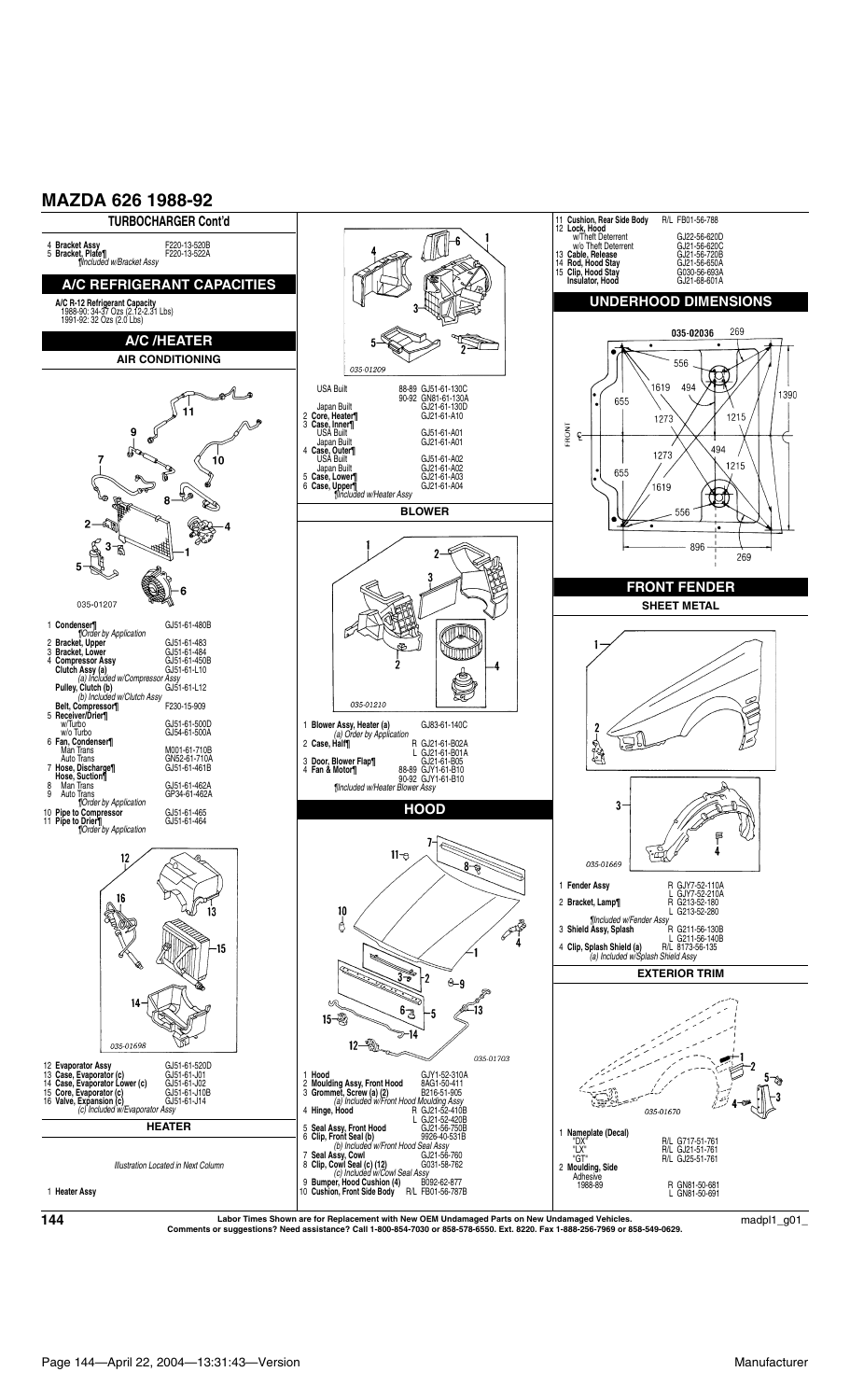

**Labor Times Shown are for Replacement with New OEM Undamaged Parts on New Undamaged Vehicles. Comments or suggestions? Need assistance? Call 1-800-854-7030 or 858-578-6550. Ext. 8220. Fax 1-888-256-7969 or 858-549-0629. <sup>144</sup>** madpl1\_g01\_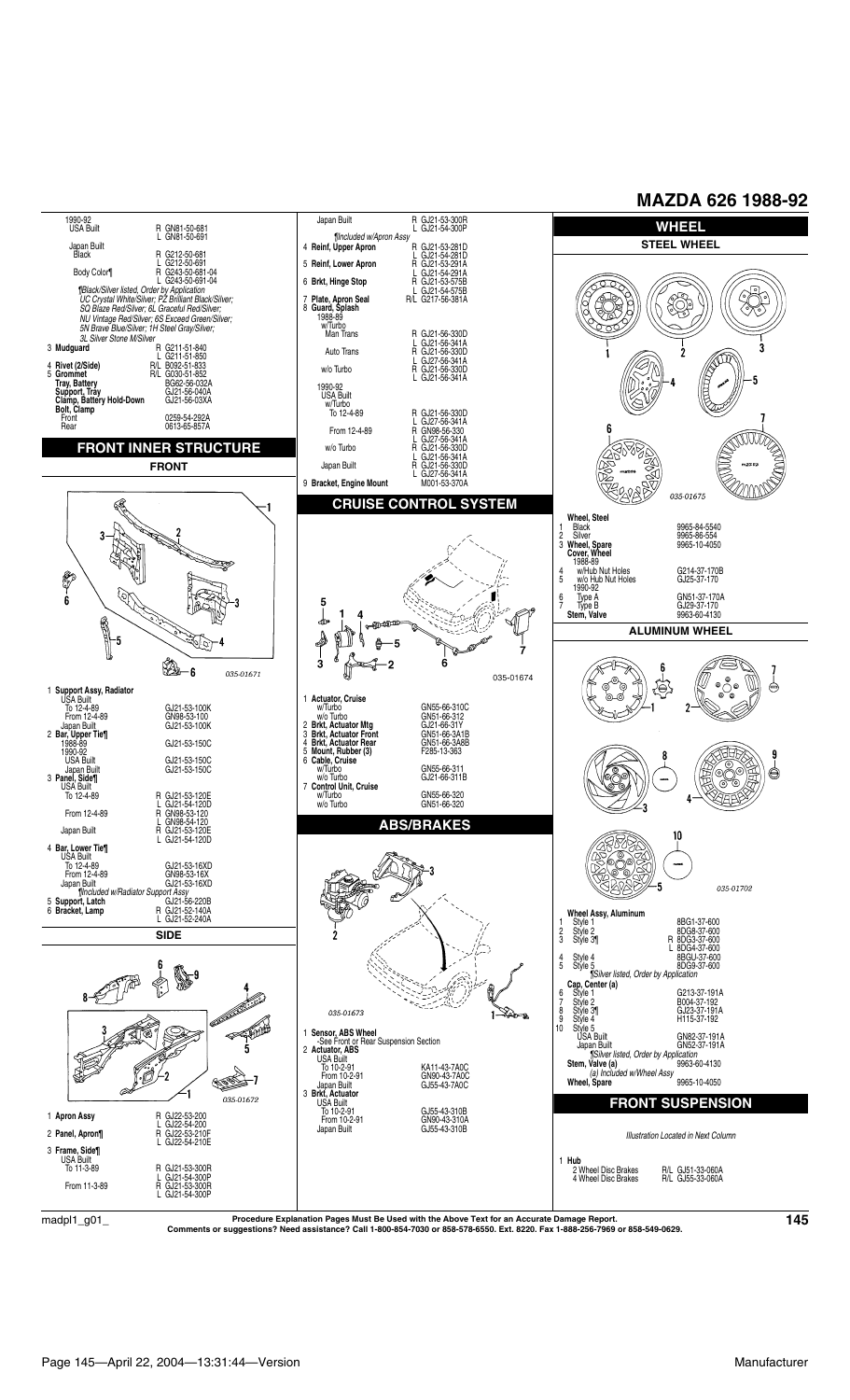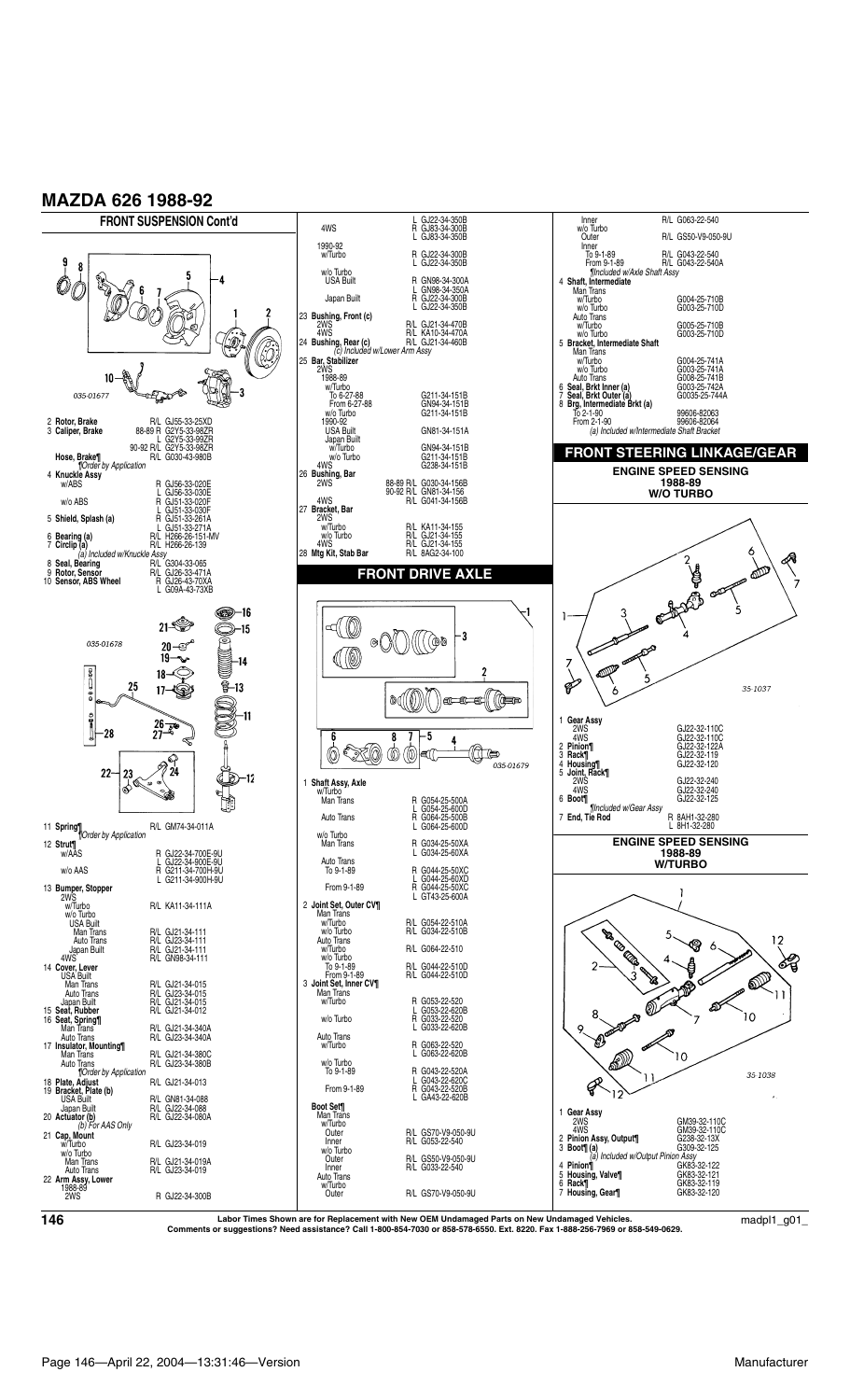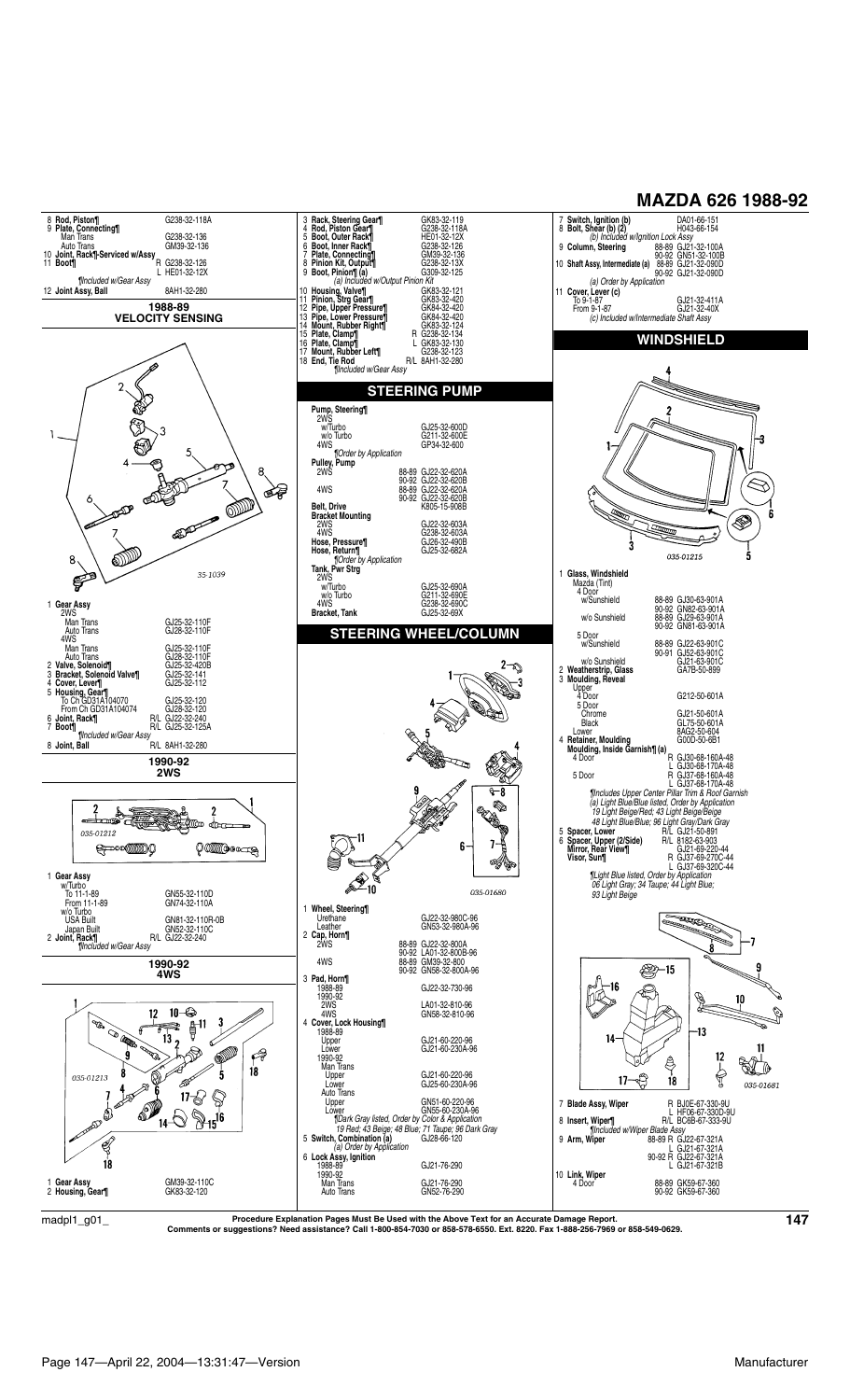

 $\rm{madpl1\_g01\_}$  Procedure Explanation Pages Must Be Used with the Above Text for an Accurate Damage Report.<br>Comments or suggestions? Need assistance? Call 1-800-854-7030 or 858-578-6550. Ext. 8220. Fax 1-888-256-7969 or 85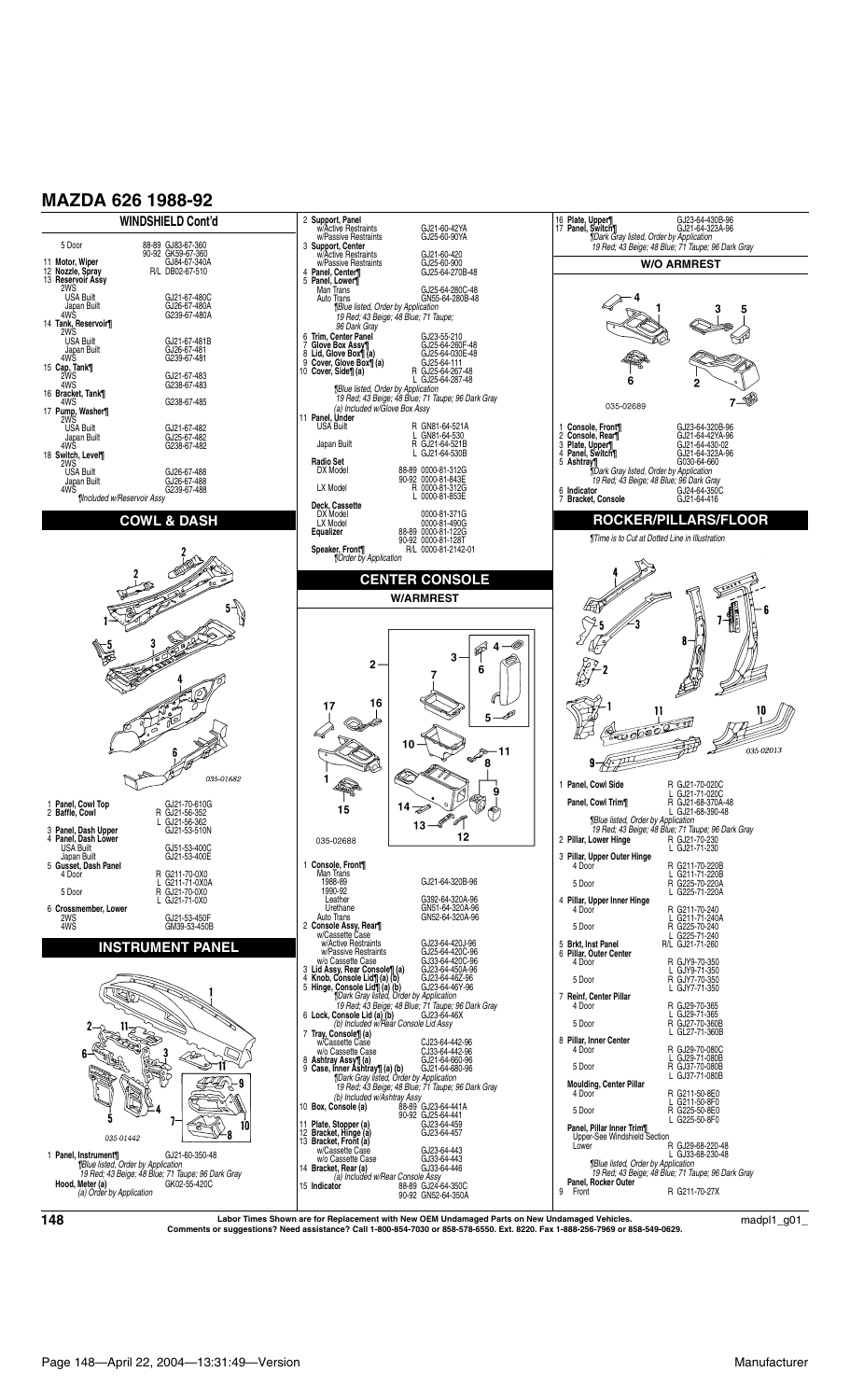

**Labor Times Shown are for Replacement with New OEM Undamaged Parts on New Undamaged Vehicles. Comments or suggestions? Need assistance? Call 1-800-854-7030 or 858-578-6550. Ext. 8220. Fax 1-888-256-7969 or 858-549-0629. <sup>148</sup>** madpl1\_g01\_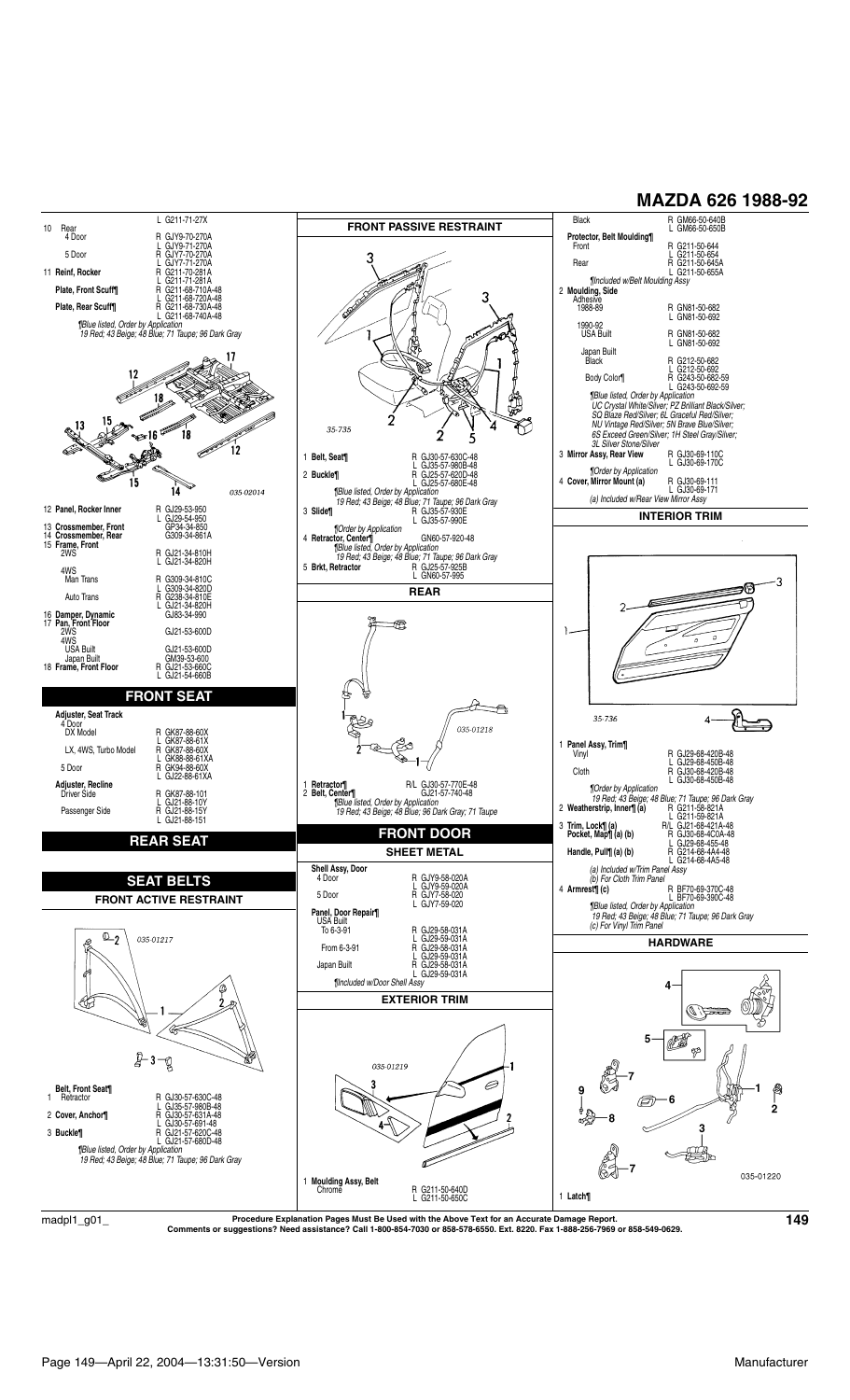

Procedure Explanation Pages Must Be Used with the Above Text for an Accurate Damage Report.<br>Comments or suggestions? Need assistance? Call 1-800-854-7030 or 858-578-6550. Ext. 8220. Fax 1-888-256-7969 or 858-549-0629.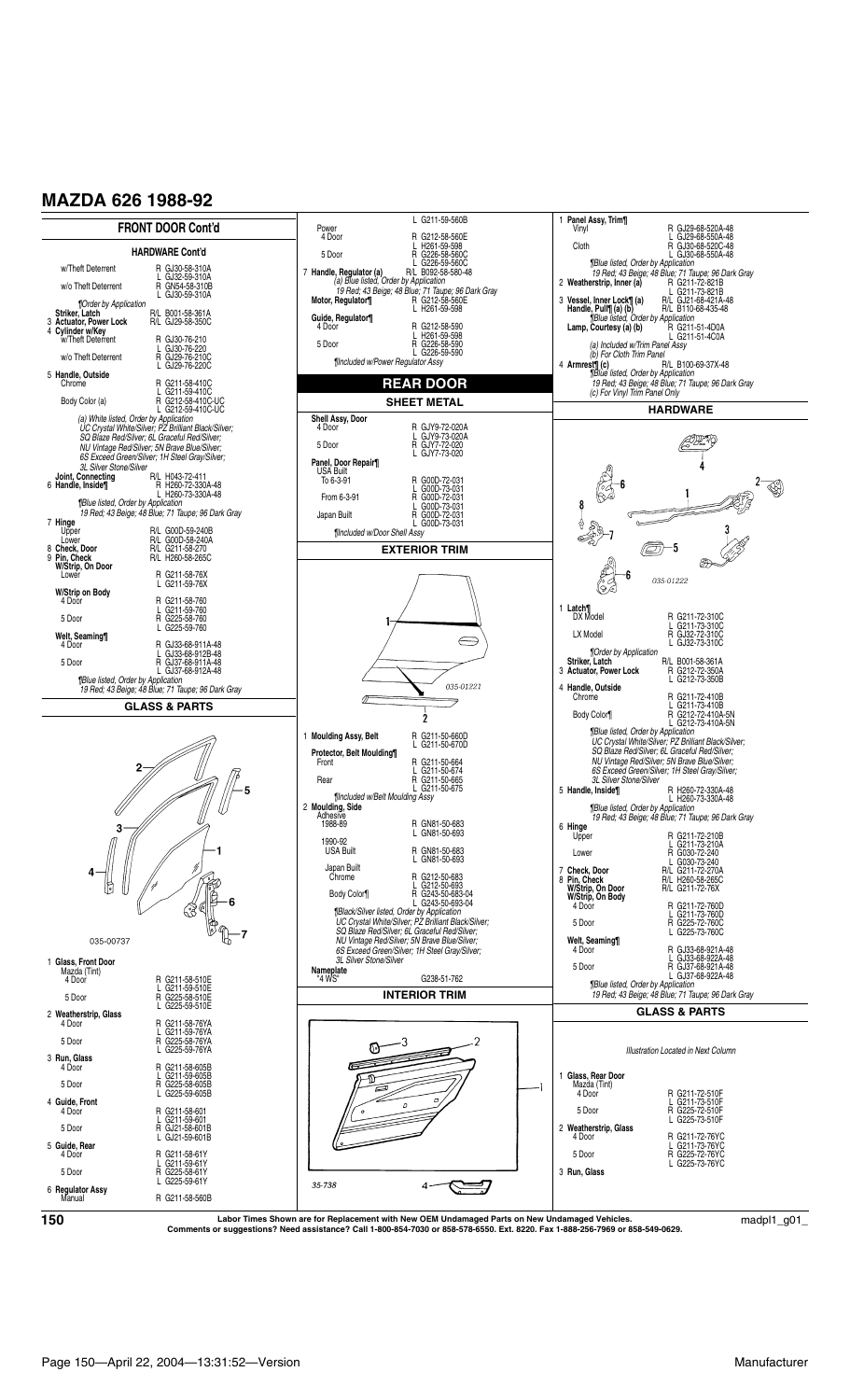

\_001\_/Labor Times Shown are for Replacement with New OEM Undamaged Parts on New Undamaged Vehicles.<br>Comments or suggestions? Need assistance? Call 1-800-854-7030 or 858-578-6550. Ext. 8220. Fax 1-888-256-7969 or 858-549-0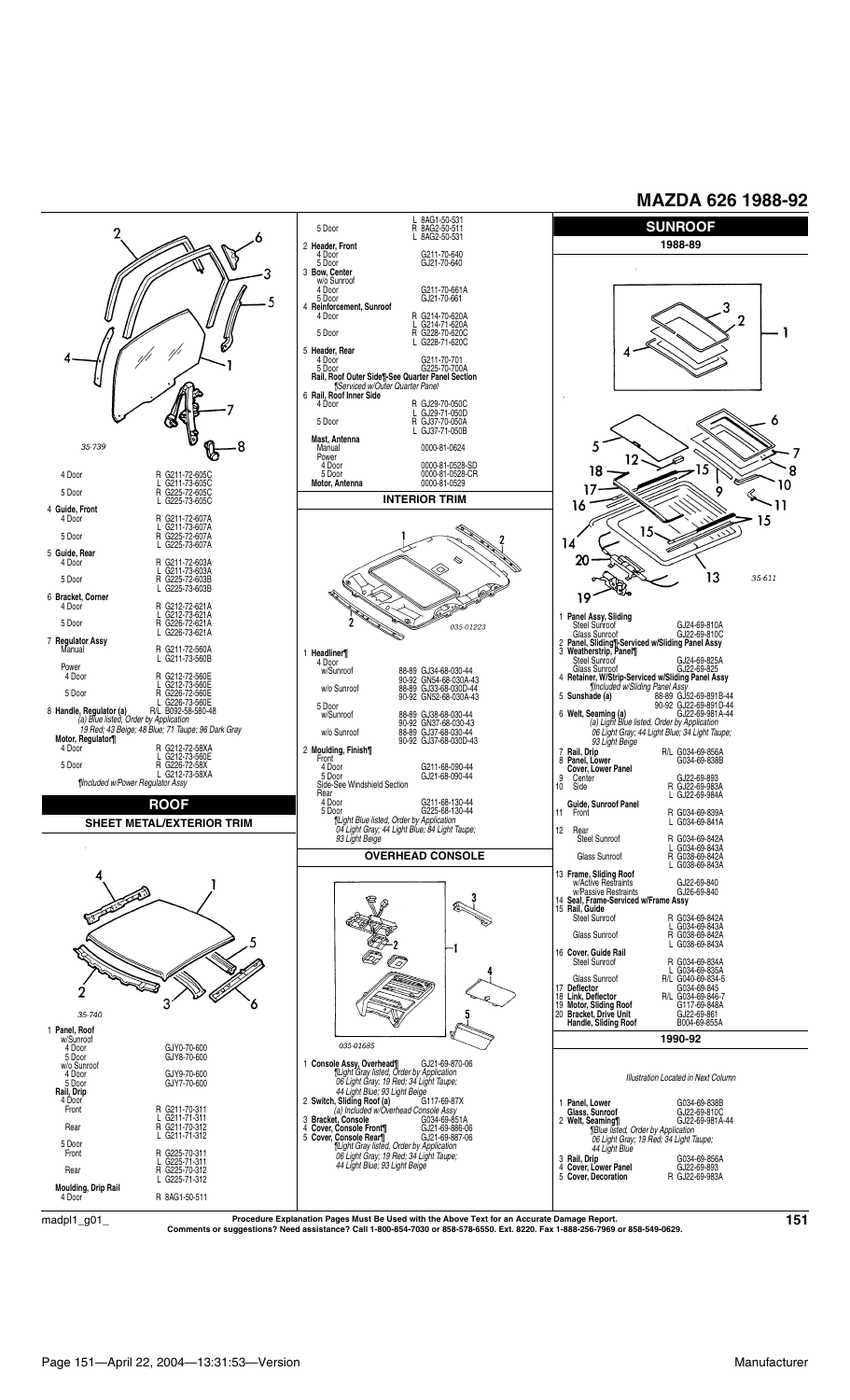

 $\rm{madpl1\_g01\_}$  Procedure Explanation Pages Must Be Used with the Above Text for an Accurate Damage Report.<br>Comments or suggestions? Need assistance? Call 1-800-854-7030 or 858-578-6550. Ext. 8220. Fax 1-888-256-7969 or 85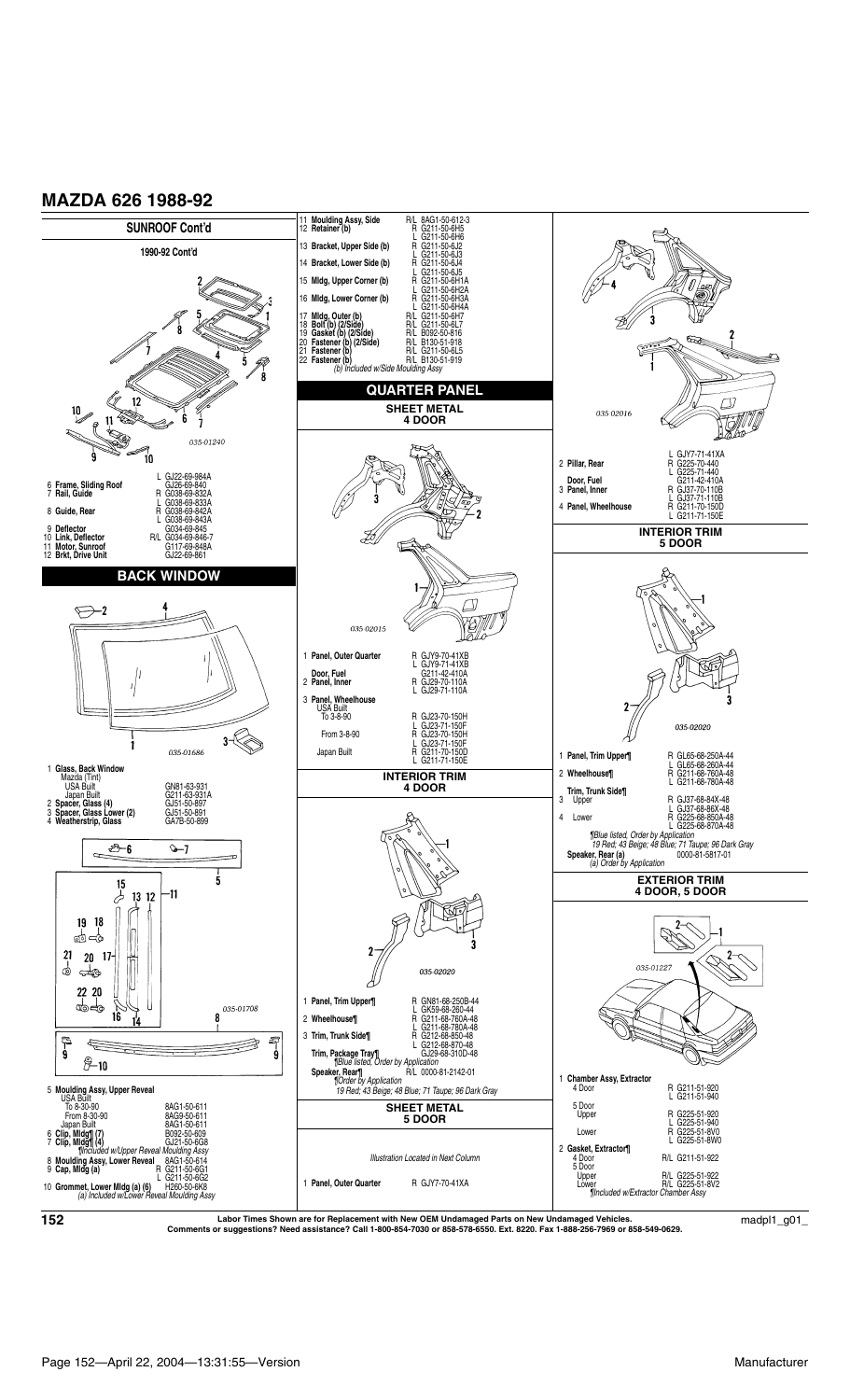

\_ Labor Times Shown are for Replacement with New OEM Undamaged Parts on New Undamaged Vehicles.<br>Comments or suggestions? Need assistance? Call 1-800-854-7030 or 858-578-6550. Ext. 8220. Fax 1-888-256-7969 or 858-549-0629.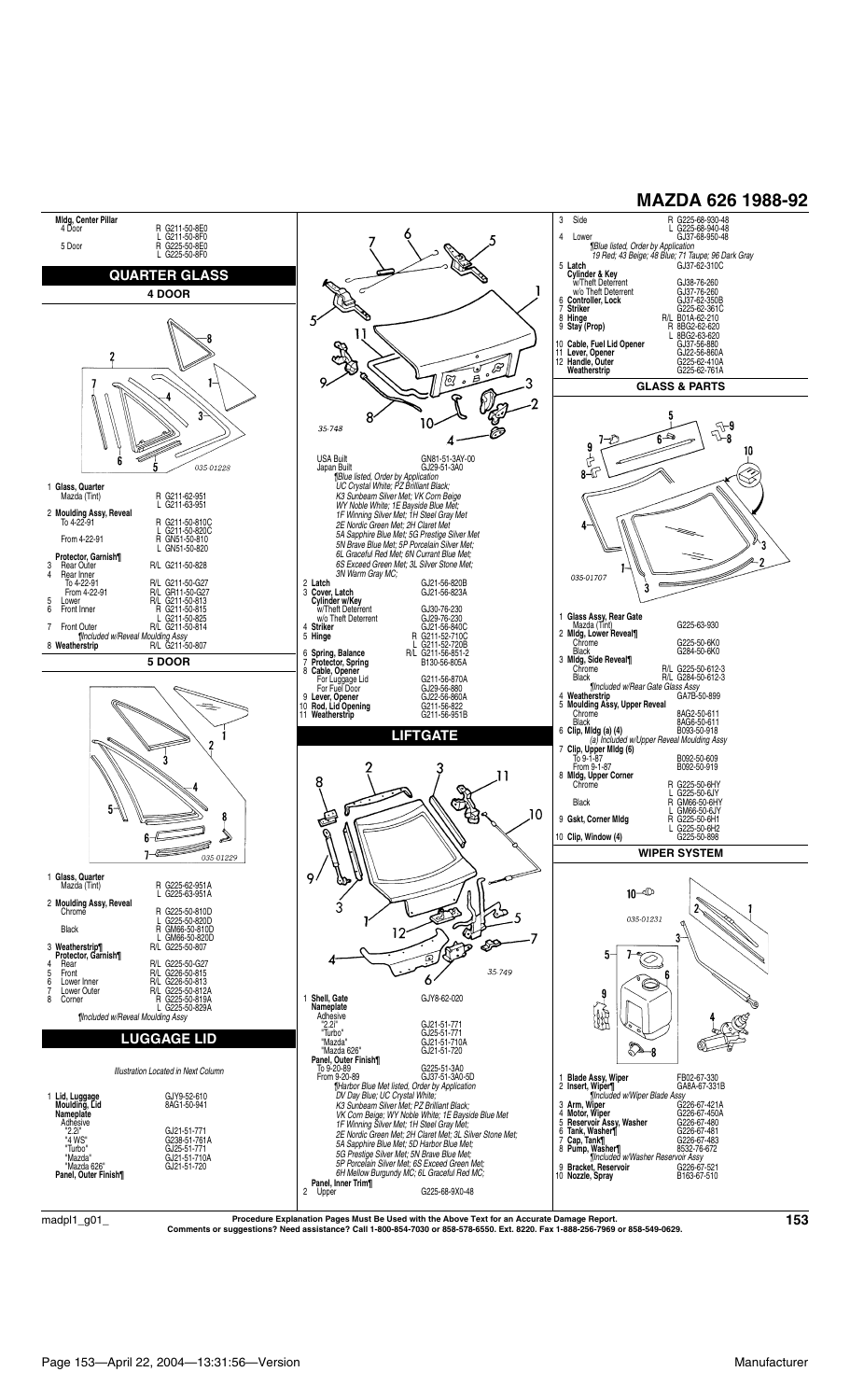

 $\rm{madpl1\_g01\_}$  Procedure Explanation Pages Must Be Used with the Above Text for an Accurate Damage Report.  $\rm{153}$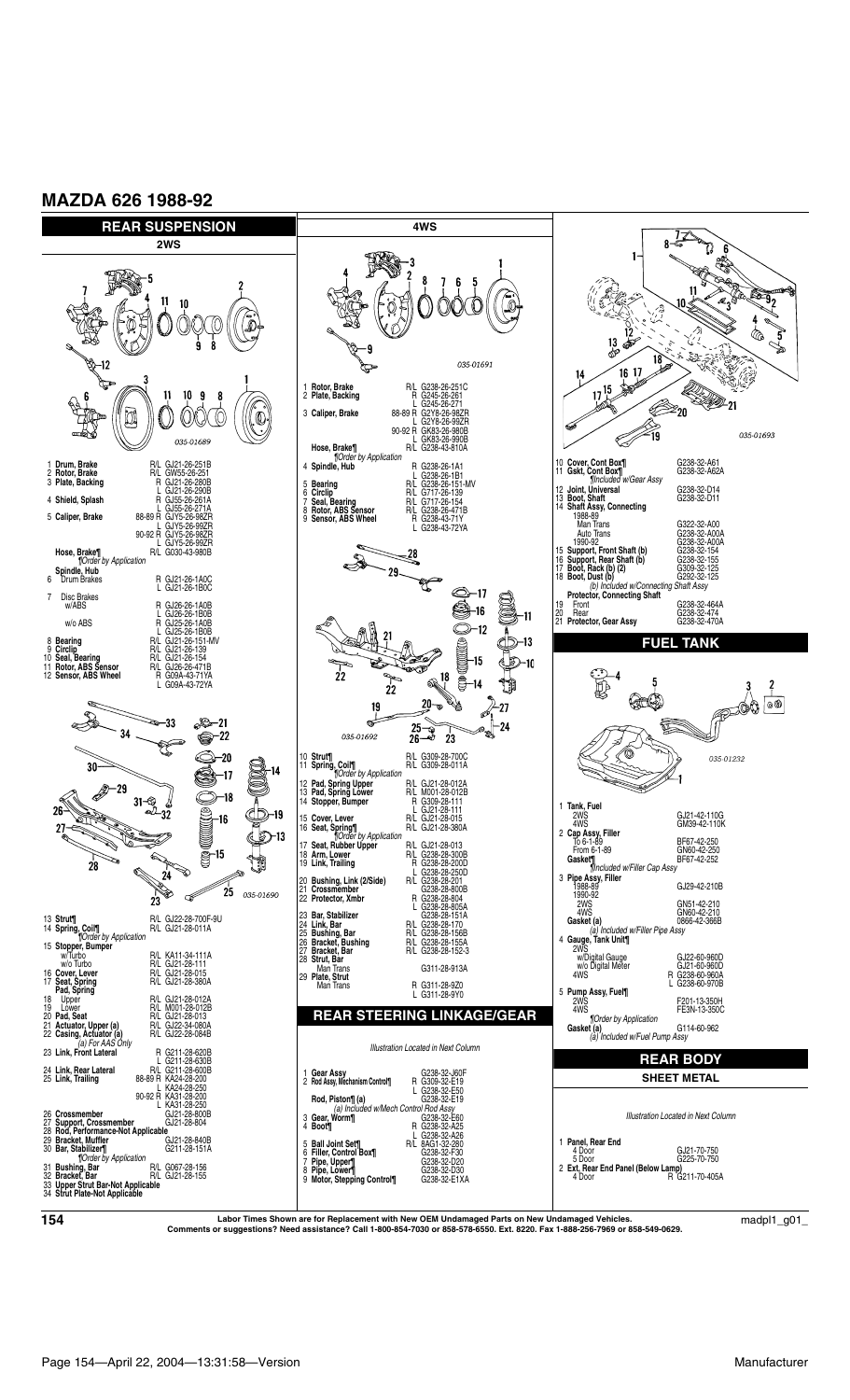**MAZDA 626 1988-92**



**Labor Times Shown are for Replacement with New OEM Undamaged Parts on New Undamaged Vehicles. Comments or suggestions? Need assistance? Call 1-800-854-7030 or 858-578-6550. Ext. 8220. Fax 1-888-256-7969 or 858-549-0629. <sup>154</sup>** madpl1\_g01\_